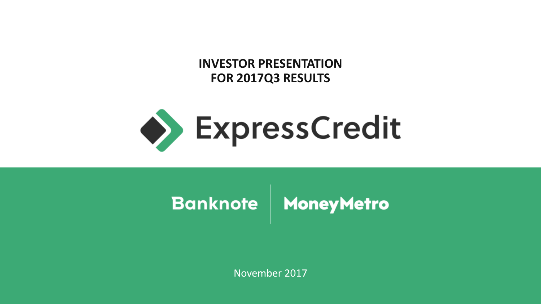**INVESTOR PRESENTATION FOR 2017Q3 RESULTS**



# Banknote | MoneyMetro

November 2017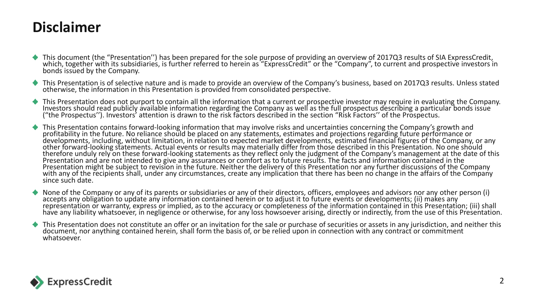#### **Disclaimer**

- This document (the "Presentation'') has been prepared for the sole purpose of providing an overview of 2017Q3 results of SIA ExpressCredit, which, together with its subsidiaries, is further referred to herein as "ExpressCredit" or the "Company", to current and prospective investors in bonds issued by the Company.
- This Presentation is of selective nature and is made to provide an overview of the Company's business, based on 2017Q3 results. Unless stated otherwise, the information in this Presentation is provided from consolidated perspective.
- This Presentation does not purport to contain all the information that a current or prospective investor may require in evaluating the Company. Investors should read publicly available information regarding the Company as well as the full prospectus describing a particular bonds issue ("the Prospectus''). Investors' attention is drawn to the risk factors described in the section "Risk Factors'' of the Prospectus.
- This Presentation contains forward-looking information that may involve risks and uncertainties concerning the Company's growth and profitability in the future. No reliance should be placed on any statements, estimates and projections regarding future performance or developments, including, without limitation, in relation to expected market developments, estimated financial figures of the Company, or any other forward-looking statements. Actual events or results may materially differ from those described in this Presentation. No one should therefore unduly rely on these forward-looking statements as they reflect only the judgment of the Company's management at the date of this Presentation and are not intended to give any assurances or comfort as to future results. The facts and information contained in the Presentation might be subject to revision in the future. Neither the delivery of this Presentation nor any further discussions of the Company with any of the recipients shall, under any circumstances, create any implication that there has been no change in the affairs of the Company since such date.
- None of the Company or any of its parents or subsidiaries or any of their directors, officers, employees and advisors nor any other person (i) accepts any obligation to update any information contained herein or to adjust it to future events or developments; (ii) makes any representation or warranty, express or implied, as to the accuracy or completeness of the information contained in this Presentation; (iii) shall have any liability whatsoever, in negligence or otherwise, for any loss howsoever arising, directly or indirectly, from the use of this Presentation.
- This Presentation does not constitute an offer or an invitation for the sale or purchase of securities or assets in any jurisdiction, and neither this document, nor anything contained herein, shall form the basis of, or be relied upon in connection with any contract or commitment whatsoever.

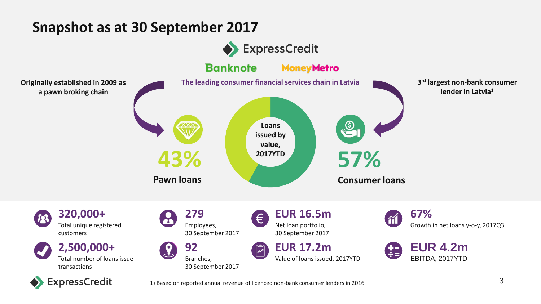#### **Snapshot as at 30 September 2017**

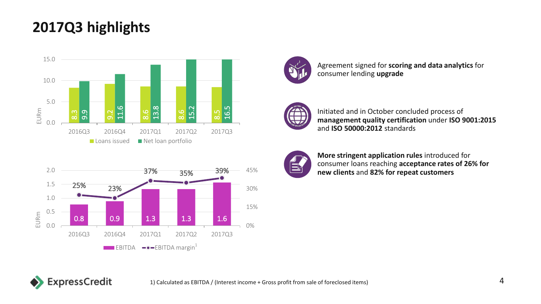## **2017Q3 highlights**







Agreement signed for **scoring and data analytics** for consumer lending **upgrade**



Initiated and in October concluded process of **management quality certification** under **ISO 9001:2015**  and **ISO 50000:2012** standards



**More stringent application rules** introduced for consumer loans reaching **acceptance rates of 26% for new clients** and **82% for repeat customers**

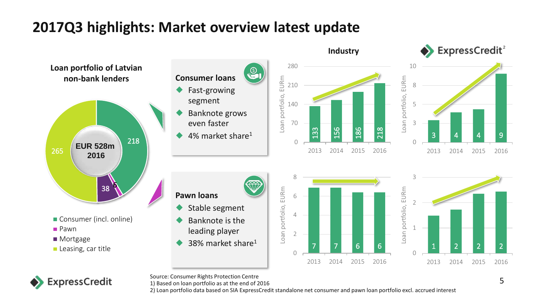## **2017Q3 highlights: Market overview latest update**





Source: Consumer Rights Protection Centre

1) Based on loan portfolio as at the end of 2016

2) Loan portfolio data based on SIA ExpressCredit standalone net consumer and pawn loan portfolio excl. accrued interest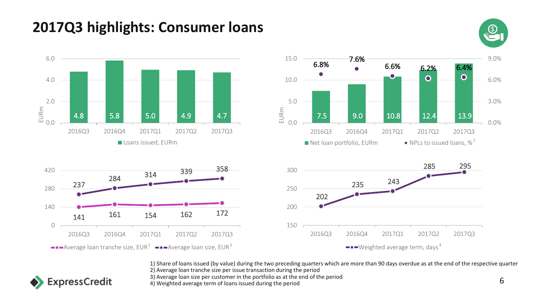## **2017Q3 highlights: Consumer loans**









**ExpressCredit** 



1) Share of loans issued (by value) during the two preceding quarters which are more than 90 days overdue as at the end of the respective quarter 2) Average loan tranche size per issue transaction during the period

3) Average loan size per customer in the portfolio as at the end of the period

3) Average ioan size per customer in the portrollo as at the end of the period  $6<sup>1</sup>$  Meighted average term of loans issued during the period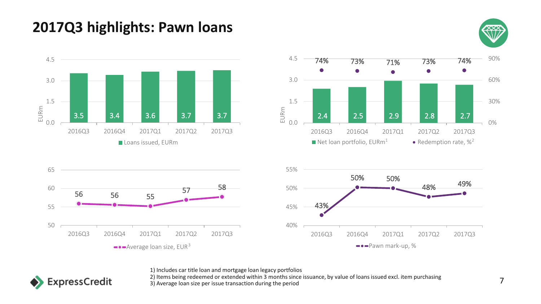## **2017Q3 highlights: Pawn loans**









1) Includes car title loan and mortgage loan legacy portfolios

2) Items being redeemed or extended within 3 months since issuance, by value of loans issued excl. item purchasing 2) Items being redeemed of extended within 3 months since issuance, by value or idans issued excitivem purchasing<br>3) Average loan size per issue transaction during the period

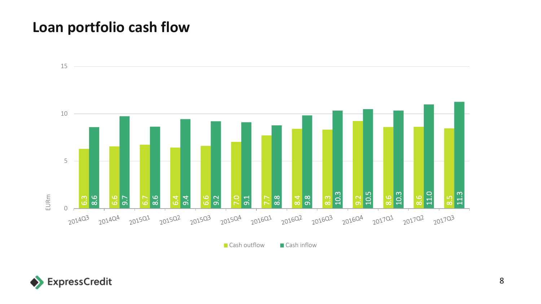#### **Loan portfolio cash flow**



Cash outflow Cash inflow

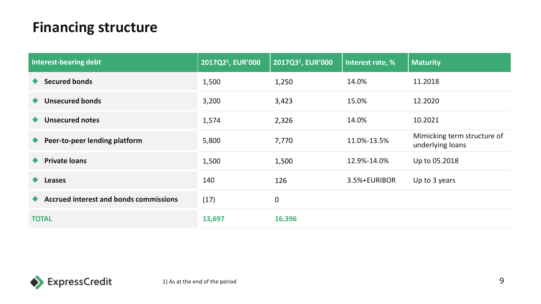## **Financing structure**

| Interest-bearing debt                         | 2017Q2 <sup>1</sup> , EUR'000 | 2017Q3 <sup>1</sup> , EUR'000 | Interest rate, % | <b>Maturity</b>                                 |
|-----------------------------------------------|-------------------------------|-------------------------------|------------------|-------------------------------------------------|
| <b>Secured bonds</b>                          | 1,500                         | 1,250                         | 14.0%            | 11.2018                                         |
| <b>Unsecured bonds</b>                        | 3,200                         | 3,423                         | 15.0%            | 12.2020                                         |
| <b>Unsecured notes</b>                        | 1,574                         | 2,326                         | 14.0%            | 10.2021                                         |
| Peer-to-peer lending platform                 | 5,800                         | 7,770                         | 11.0%-13.5%      | Mimicking term structure of<br>underlying loans |
| <b>Private loans</b>                          | 1,500                         | 1,500                         | 12.9%-14.0%      | Up to 05.2018                                   |
| <b>Leases</b><br>$\bullet$                    | 140                           | 126                           | 3.5%+EURIBOR     | Up to 3 years                                   |
| <b>Accrued interest and bonds commissions</b> | (17)                          | $\boldsymbol{0}$              |                  |                                                 |
| <b>TOTAL</b>                                  | 13,697                        | 16,396                        |                  |                                                 |